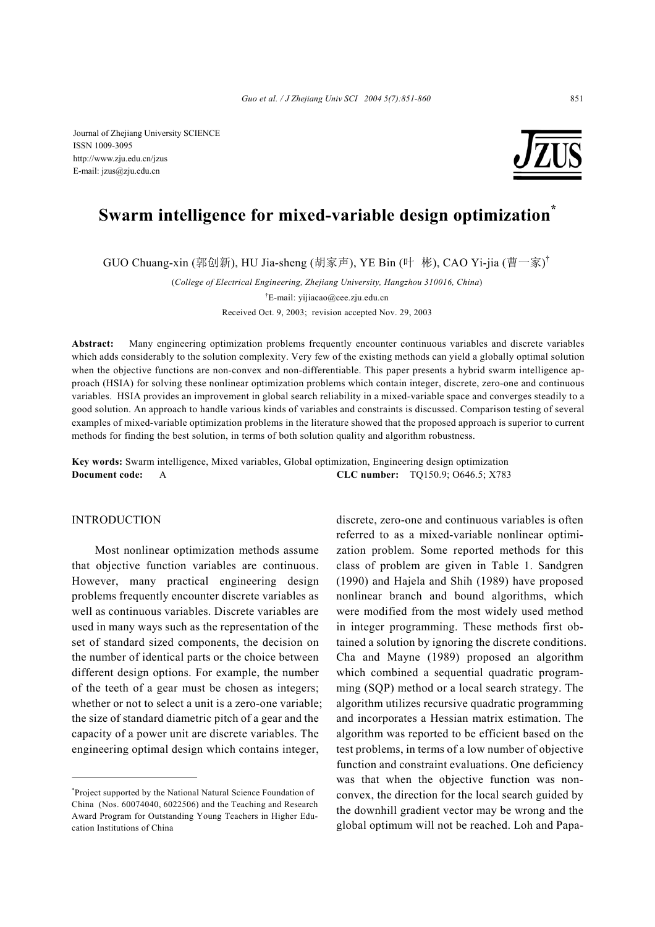Journal of Zhejiang University SCIENCE ISSN 1009-3095 http://www.zju.edu.cn/jzus E-mail: jzus@zju.edu.cn



# **Swarm intelligence for mixed-variable design optimization\***

GUO Chuang-xin (郭创新), HU Jia-sheng (胡家声), YE Bin (叶 彬), CAO Yi-jia (曹一家)<sup>†</sup>

(*College of Electrical Engineering, Zhejiang University, Hangzhou 310016, China*) † E-mail: yijiacao@cee.zju.edu.cn Received Oct. 9, 2003; revision accepted Nov. 29, 2003

**Abstract:** Many engineering optimization problems frequently encounter continuous variables and discrete variables which adds considerably to the solution complexity. Very few of the existing methods can yield a globally optimal solution when the objective functions are non-convex and non-differentiable. This paper presents a hybrid swarm intelligence approach (HSIA) for solving these nonlinear optimization problems which contain integer, discrete, zero-one and continuous variables. HSIA provides an improvement in global search reliability in a mixed-variable space and converges steadily to a good solution. An approach to handle various kinds of variables and constraints is discussed. Comparison testing of several examples of mixed-variable optimization problems in the literature showed that the proposed approach is superior to current methods for finding the best solution, in terms of both solution quality and algorithm robustness.

**Key words:** Swarm intelligence, Mixed variables, Global optimization, Engineering design optimization **Document code:** A **CLC number:** TQ150.9; O646.5; X783

## INTRODUCTION

Most nonlinear optimization methods assume that objective function variables are continuous. However, many practical engineering design problems frequently encounter discrete variables as well as continuous variables. Discrete variables are used in many ways such as the representation of the set of standard sized components, the decision on the number of identical parts or the choice between different design options. For example, the number of the teeth of a gear must be chosen as integers; whether or not to select a unit is a zero-one variable; the size of standard diametric pitch of a gear and the capacity of a power unit are discrete variables. The engineering optimal design which contains integer,

discrete, zero-one and continuous variables is often referred to as a mixed-variable nonlinear optimization problem. Some reported methods for this class of problem are given in Table 1. Sandgren (1990) and Hajela and Shih (1989) have proposed nonlinear branch and bound algorithms, which were modified from the most widely used method in integer programming. These methods first obtained a solution by ignoring the discrete conditions. Cha and Mayne (1989) proposed an algorithm which combined a sequential quadratic programming (SQP) method or a local search strategy. The algorithm utilizes recursive quadratic programming and incorporates a Hessian matrix estimation. The algorithm was reported to be efficient based on the test problems, in terms of a low number of objective function and constraint evaluations. One deficiency was that when the objective function was nonconvex, the direction for the local search guided by the downhill gradient vector may be wrong and the global optimum will not be reached. Loh and Papa-

<sup>\*</sup> Project supported by the National Natural Science Foundation of China (Nos. 60074040, 6022506) and the Teaching and Research Award Program for Outstanding Young Teachers in Higher Education Institutions of China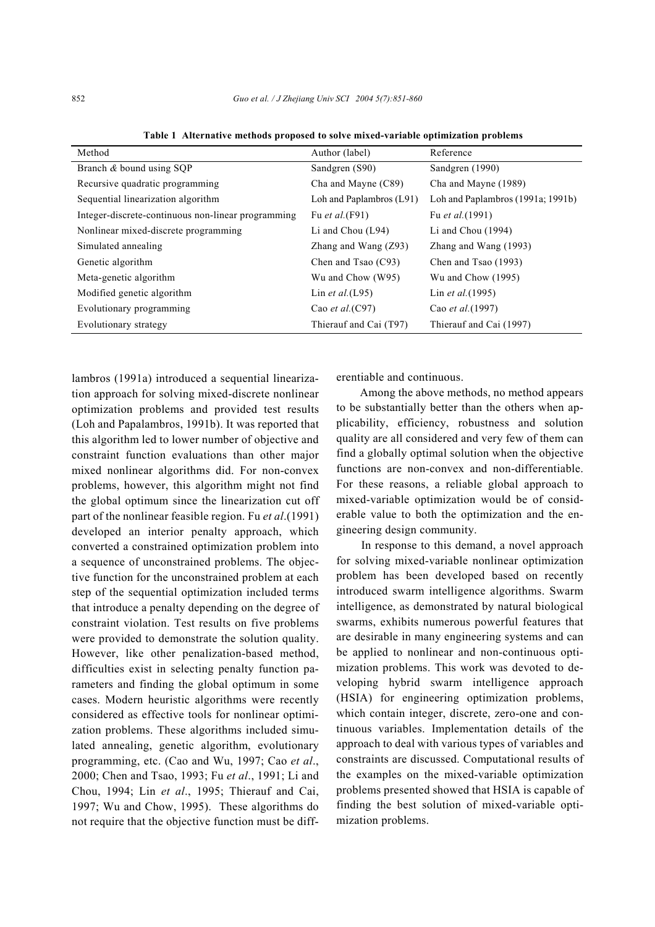| Method                                             | Author (label)           | Reference                           |
|----------------------------------------------------|--------------------------|-------------------------------------|
| Branch & bound using SQP                           | Sandgren (S90)           | Sandgren (1990)                     |
| Recursive quadratic programming                    | Cha and Mayne (C89)      | Cha and Mayne (1989)                |
| Sequential linearization algorithm                 | Loh and Paplambros (L91) | Loh and Paplambros $(1991a; 1991b)$ |
| Integer-discrete-continuous non-linear programming | Fu <i>et al.</i> (F91)   | Fu <i>et al.</i> (1991)             |
| Nonlinear mixed-discrete programming               | Li and Chou $(L94)$      | Li and Chou $(1994)$                |
| Simulated annealing                                | Zhang and Wang $(Z93)$   | Zhang and Wang $(1993)$             |
| Genetic algorithm                                  | Chen and Tsao (C93)      | Chen and Tsao (1993)                |
| Meta-genetic algorithm                             | Wu and Chow (W95)        | Wu and Chow $(1995)$                |
| Modified genetic algorithm                         | Lin et al. $(L95)$       | Lin <i>et al.</i> (1995)            |
| Evolutionary programming                           | Cao et al. $(C97)$       | Cao et al. (1997)                   |
| Evolutionary strategy                              | Thierauf and Cai (T97)   | Thierauf and Cai (1997)             |

**Table 1 Alternative methods proposed to solve mixed-variable optimization problems** 

lambros (1991a) introduced a sequential linearization approach for solving mixed-discrete nonlinear optimization problems and provided test results (Loh and Papalambros, 1991b). It was reported that this algorithm led to lower number of objective and constraint function evaluations than other major mixed nonlinear algorithms did. For non-convex problems, however, this algorithm might not find the global optimum since the linearization cut off part of the nonlinear feasible region. Fu *et al*.(1991) developed an interior penalty approach, which converted a constrained optimization problem into a sequence of unconstrained problems. The objective function for the unconstrained problem at each step of the sequential optimization included terms that introduce a penalty depending on the degree of constraint violation. Test results on five problems were provided to demonstrate the solution quality. However, like other penalization-based method, difficulties exist in selecting penalty function parameters and finding the global optimum in some cases. Modern heuristic algorithms were recently considered as effective tools for nonlinear optimization problems. These algorithms included simulated annealing, genetic algorithm, evolutionary programming, etc. (Cao and Wu, 1997; Cao *et al*., 2000; Chen and Tsao, 1993; Fu *et al*., 1991; Li and Chou, 1994; Lin *et al*., 1995; Thierauf and Cai, 1997; Wu and Chow, 1995). These algorithms do not require that the objective function must be differentiable and continuous.

Among the above methods, no method appears to be substantially better than the others when applicability, efficiency, robustness and solution quality are all considered and very few of them can find a globally optimal solution when the objective functions are non-convex and non-differentiable. For these reasons, a reliable global approach to mixed-variable optimization would be of considerable value to both the optimization and the engineering design community.

 In response to this demand, a novel approach for solving mixed-variable nonlinear optimization problem has been developed based on recently introduced swarm intelligence algorithms. Swarm intelligence, as demonstrated by natural biological swarms, exhibits numerous powerful features that are desirable in many engineering systems and can be applied to nonlinear and non-continuous optimization problems. This work was devoted to developing hybrid swarm intelligence approach (HSIA) for engineering optimization problems, which contain integer, discrete, zero-one and continuous variables. Implementation details of the approach to deal with various types of variables and constraints are discussed. Computational results of the examples on the mixed-variable optimization problems presented showed that HSIA is capable of finding the best solution of mixed-variable optimization problems.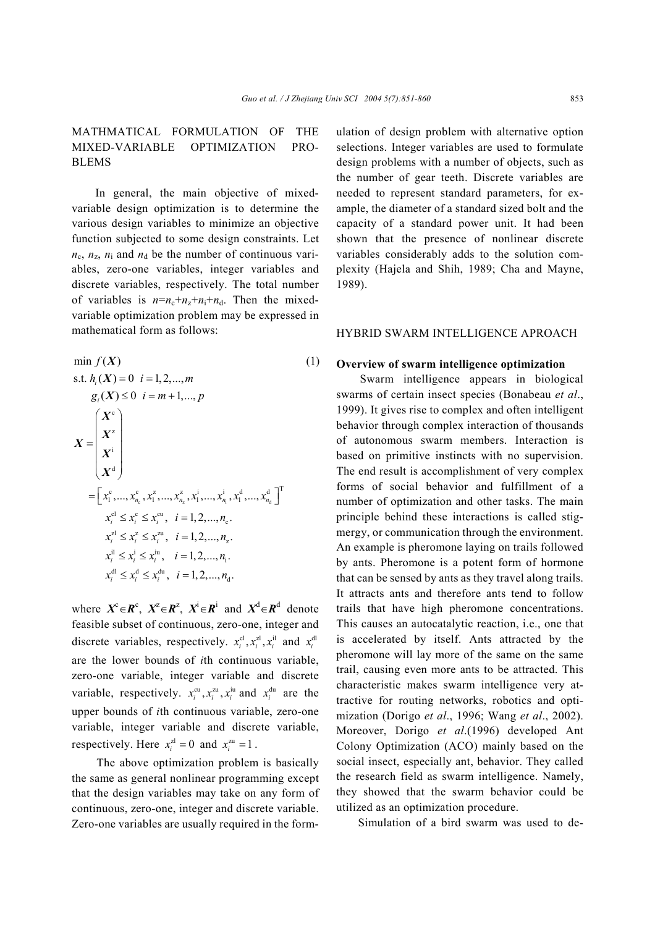# MATHMATICAL FORMULATION OF THE MIXED-VARIABLE OPTIMIZATION PRO-BLEMS

In general, the main objective of mixedvariable design optimization is to determine the various design variables to minimize an objective function subjected to some design constraints. Let  $n_c$ ,  $n_z$ ,  $n_i$  and  $n_d$  be the number of continuous variables, zero-one variables, integer variables and discrete variables, respectively. The total number of variables is  $n=n_c+n_z+n_i+n_d$ . Then the mixedvariable optimization problem may be expressed in mathematical form as follows:

$$
\min f(X) \tag{1}
$$
\n
$$
\text{s.t. } h_{i}(X) = 0 \quad i = 1, 2, ..., m
$$
\n
$$
g_{i}(X) \le 0 \quad i = m+1, ..., p
$$
\n
$$
X = \begin{pmatrix} X^{c} \\ X^{i} \\ X^{d} \end{pmatrix}
$$
\n
$$
= \begin{bmatrix} x_{1}^{c}, ..., x_{n_{c}}^{c}, x_{1}^{z}, ..., x_{n_{c}}^{z}, x_{1}^{i}, ..., x_{n_{i}}^{i}, x_{1}^{d}, ..., x_{n_{d}}^{d} \end{bmatrix}^{T}
$$
\n
$$
x_{i}^{c1} \le x_{i}^{c} \le x_{i}^{cu}, \quad i = 1, 2, ..., n_{c}.
$$
\n
$$
x_{i}^{z1} \le x_{i}^{z} \le x_{i}^{zu}, \quad i = 1, 2, ..., n_{z}.
$$
\n
$$
x_{i}^{d1} \le x_{i}^{i} \le x_{i}^{iu}, \quad i = 1, 2, ..., n_{i}.
$$
\n
$$
x_{i}^{d1} \le x_{i}^{d} \le x_{i}^{du}, \quad i = 1, 2, ..., n_{d}.
$$
\n(1)

where  $X^c \in \mathbb{R}^c$ ,  $X^{\mathbb{Z}} \in \mathbb{R}^{\mathbb{Z}}$ ,  $X^i \in \mathbb{R}^{\mathbb{Z}}$  and  $X^d \in \mathbb{R}^d$  denote feasible subset of continuous, zero-one, integer and discrete variables, respectively.  $x_i^{\text{cl}}$ ,  $x_i^{\text{cl}}$ ,  $x_i^{\text{il}}$  and  $x_i^{\text{dl}}$ are the lower bounds of *i*th continuous variable, zero-one variable, integer variable and discrete variable, respectively.  $x_i^{cu}, x_i^{zu}, x_i^{iu}$  and  $x_i^{du}$  are the upper bounds of *i*th continuous variable, zero-one variable, integer variable and discrete variable, respectively. Here  $x_i^{\text{zI}} = 0$  and  $x_i^{\text{zu}} = 1$ .

 The above optimization problem is basically the same as general nonlinear programming except that the design variables may take on any form of continuous, zero-one, integer and discrete variable. Zero-one variables are usually required in the formulation of design problem with alternative option selections. Integer variables are used to formulate design problems with a number of objects, such as the number of gear teeth. Discrete variables are needed to represent standard parameters, for example, the diameter of a standard sized bolt and the capacity of a standard power unit. It had been shown that the presence of nonlinear discrete variables considerably adds to the solution complexity (Hajela and Shih, 1989; Cha and Mayne, 1989).

### HYBRID SWARM INTELLIGENCE APROACH

#### **Overview of swarm intelligence optimization**

Swarm intelligence appears in biological swarms of certain insect species (Bonabeau *et al*., 1999). It gives rise to complex and often intelligent behavior through complex interaction of thousands of autonomous swarm members. Interaction is based on primitive instincts with no supervision. The end result is accomplishment of very complex forms of social behavior and fulfillment of a number of optimization and other tasks. The main principle behind these interactions is called stigmergy, or communication through the environment. An example is pheromone laying on trails followed by ants. Pheromone is a potent form of hormone that can be sensed by ants as they travel along trails. It attracts ants and therefore ants tend to follow trails that have high pheromone concentrations. This causes an autocatalytic reaction, i.e., one that is accelerated by itself. Ants attracted by the pheromone will lay more of the same on the same trail, causing even more ants to be attracted. This characteristic makes swarm intelligence very attractive for routing networks, robotics and optimization (Dorigo *et al*., 1996; Wang *et al*., 2002). Moreover, Dorigo *et al*.(1996) developed Ant Colony Optimization (ACO) mainly based on the social insect, especially ant, behavior. They called the research field as swarm intelligence. Namely, they showed that the swarm behavior could be utilized as an optimization procedure.

Simulation of a bird swarm was used to de-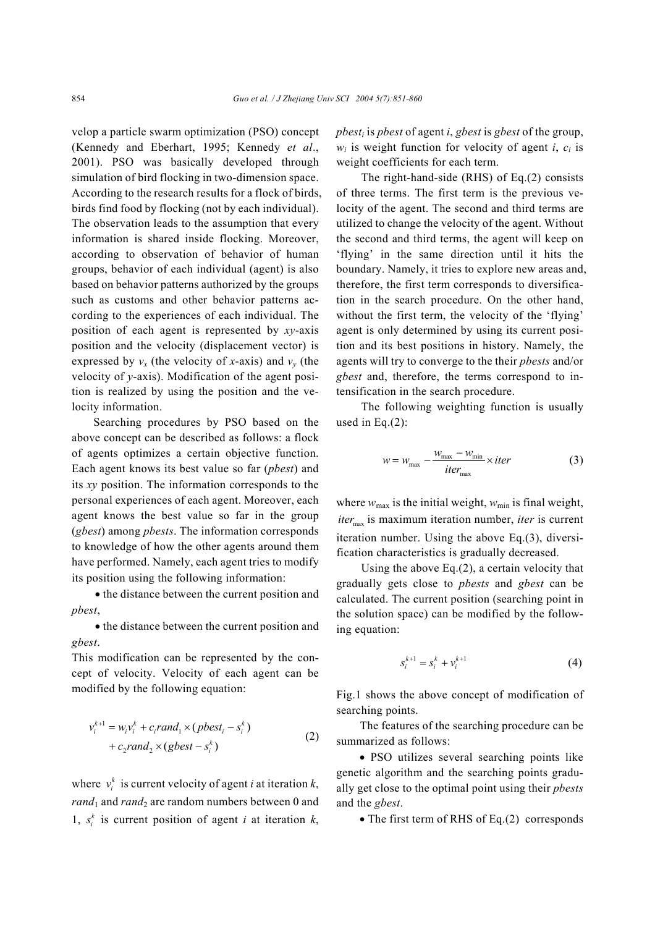velop a particle swarm optimization (PSO) concept (Kennedy and Eberhart, 1995; Kennedy *et al*., 2001). PSO was basically developed through simulation of bird flocking in two-dimension space. According to the research results for a flock of birds, birds find food by flocking (not by each individual). The observation leads to the assumption that every information is shared inside flocking. Moreover, according to observation of behavior of human groups, behavior of each individual (agent) is also based on behavior patterns authorized by the groups such as customs and other behavior patterns according to the experiences of each individual. The position of each agent is represented by *xy*-axis position and the velocity (displacement vector) is expressed by  $v_x$  (the velocity of *x*-axis) and  $v_y$  (the velocity of *y*-axis). Modification of the agent position is realized by using the position and the velocity information.

 Searching procedures by PSO based on the above concept can be described as follows: a flock of agents optimizes a certain objective function. Each agent knows its best value so far (*pbest*) and its *xy* position. The information corresponds to the personal experiences of each agent. Moreover, each agent knows the best value so far in the group (*gbest*) among *pbests*. The information corresponds to knowledge of how the other agents around them have performed. Namely, each agent tries to modify its position using the following information:

• the distance between the current position and *pbest*,

• the distance between the current position and *gbest*.

This modification can be represented by the concept of velocity. Velocity of each agent can be modified by the following equation:

$$
v_i^{k+1} = w_i v_i^k + c_i rand_1 \times (pbest_i - s_i^k)
$$
  
+ 
$$
c_2 rand_2 \times (gbest - s_i^k)
$$
 (2)

where  $v_i^k$  is current velocity of agent *i* at iteration *k*,  $rand_1$  and  $rand_2$  are random numbers between 0 and 1,  $s_i^k$  is current position of agent *i* at iteration *k*, *pbesti* is *pbest* of agent *i*, *gbest* is *gbest* of the group,  $w_i$  is weight function for velocity of agent *i*,  $c_i$  is weight coefficients for each term.

 The right-hand-side (RHS) of Eq.(2) consists of three terms. The first term is the previous velocity of the agent. The second and third terms are utilized to change the velocity of the agent. Without the second and third terms, the agent will keep on 'flying' in the same direction until it hits the boundary. Namely, it tries to explore new areas and, therefore, the first term corresponds to diversification in the search procedure. On the other hand, without the first term, the velocity of the 'flying' agent is only determined by using its current position and its best positions in history. Namely, the agents will try to converge to the their *pbests* and/or *gbest* and, therefore, the terms correspond to intensification in the search procedure.

 The following weighting function is usually used in Eq. $(2)$ :

$$
w = w_{\text{max}} - \frac{w_{\text{max}} - w_{\text{min}}}{iter_{\text{max}}} \times iter \tag{3}
$$

where  $w_{\text{max}}$  is the initial weight,  $w_{\text{min}}$  is final weight, *iter*<sub>max</sub> is maximum iteration number, *iter* is current iteration number. Using the above Eq.(3), diversification characteristics is gradually decreased.

 Using the above Eq.(2), a certain velocity that gradually gets close to *pbests* and *gbest* can be calculated. The current position (searching point in the solution space) can be modified by the following equation:

$$
s_i^{k+1} = s_i^k + v_i^{k+1}
$$
 (4)

Fig.1 shows the above concept of modification of searching points.

The features of the searching procedure can be summarized as follows:

• PSO utilizes several searching points like genetic algorithm and the searching points gradually get close to the optimal point using their *pbests* and the *gbest*.

• The first term of RHS of Eq.(2) corresponds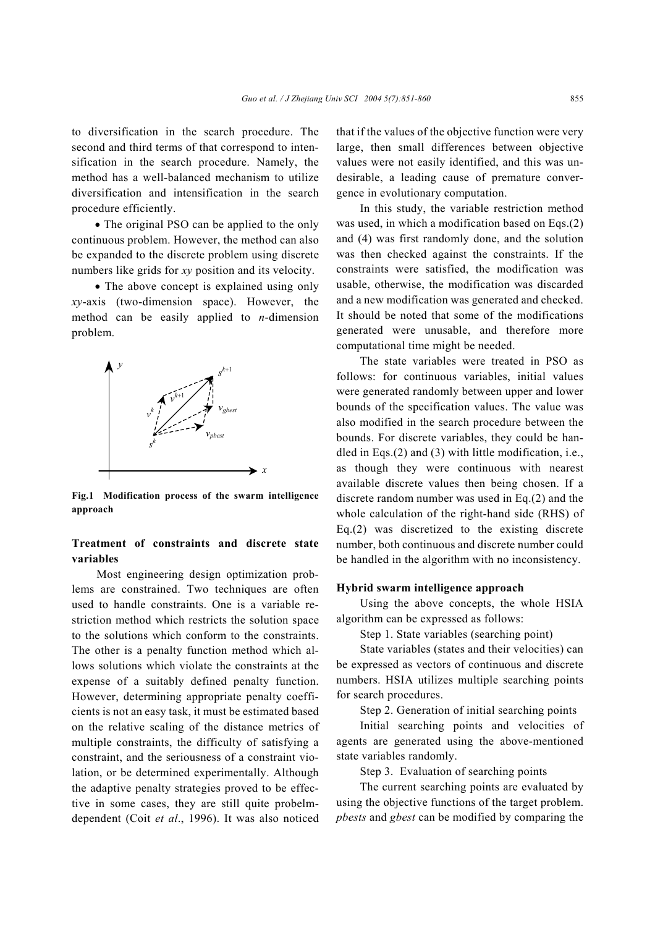to diversification in the search procedure. The second and third terms of that correspond to intensification in the search procedure. Namely, the method has a well-balanced mechanism to utilize diversification and intensification in the search procedure efficiently.

• The original PSO can be applied to the only continuous problem. However, the method can also be expanded to the discrete problem using discrete numbers like grids for *xy* position and its velocity.

• The above concept is explained using only *xy*-axis (two-dimension space). However, the method can be easily applied to *n*-dimension problem.



**Fig.1 Modification process of the swarm intelligence approach** 

# **Treatment of constraints and discrete state variables**

 Most engineering design optimization problems are constrained. Two techniques are often used to handle constraints. One is a variable restriction method which restricts the solution space to the solutions which conform to the constraints. The other is a penalty function method which allows solutions which violate the constraints at the expense of a suitably defined penalty function. However, determining appropriate penalty coefficients is not an easy task, it must be estimated based on the relative scaling of the distance metrics of multiple constraints, the difficulty of satisfying a constraint, and the seriousness of a constraint violation, or be determined experimentally. Although the adaptive penalty strategies proved to be effective in some cases, they are still quite probelmdependent (Coit *et al*., 1996). It was also noticed that if the values of the objective function were very large, then small differences between objective values were not easily identified, and this was undesirable, a leading cause of premature convergence in evolutionary computation.

In this study, the variable restriction method was used, in which a modification based on Eqs.(2) and (4) was first randomly done, and the solution was then checked against the constraints. If the constraints were satisfied, the modification was usable, otherwise, the modification was discarded and a new modification was generated and checked. It should be noted that some of the modifications generated were unusable, and therefore more computational time might be needed.

The state variables were treated in PSO as follows: for continuous variables, initial values were generated randomly between upper and lower bounds of the specification values. The value was also modified in the search procedure between the bounds. For discrete variables, they could be handled in Eqs.(2) and (3) with little modification, i.e., as though they were continuous with nearest available discrete values then being chosen. If a discrete random number was used in Eq.(2) and the whole calculation of the right-hand side (RHS) of Eq.(2) was discretized to the existing discrete number, both continuous and discrete number could be handled in the algorithm with no inconsistency.

#### **Hybrid swarm intelligence approach**

Using the above concepts, the whole HSIA algorithm can be expressed as follows:

Step 1. State variables (searching point)

State variables (states and their velocities) can be expressed as vectors of continuous and discrete numbers. HSIA utilizes multiple searching points for search procedures.

Step 2. Generation of initial searching points

Initial searching points and velocities of agents are generated using the above-mentioned state variables randomly.

Step 3. Evaluation of searching points

The current searching points are evaluated by using the objective functions of the target problem. *pbests* and *gbest* can be modified by comparing the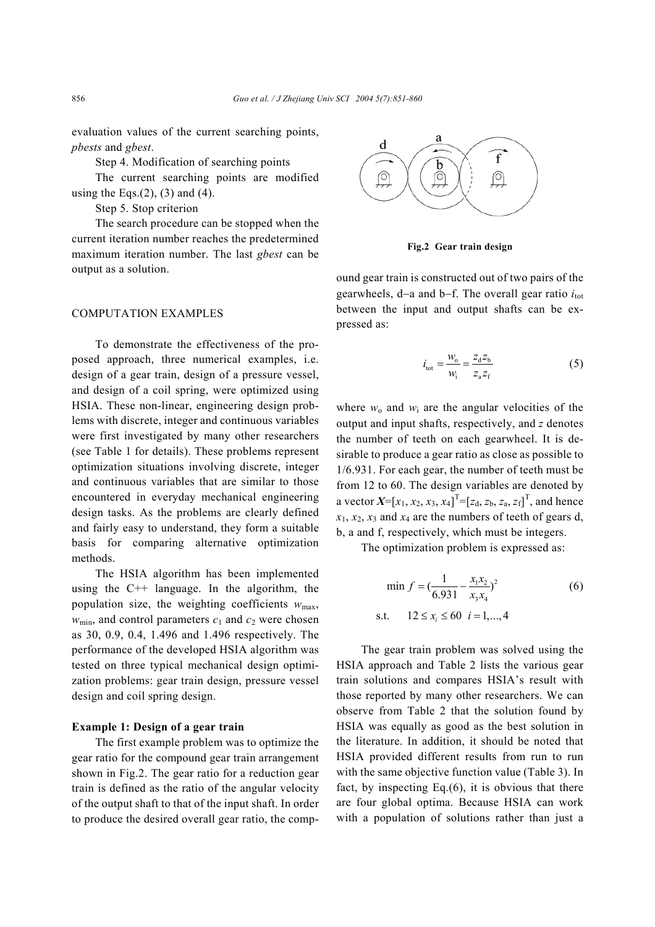evaluation values of the current searching points, *pbests* and *gbest*.

Step 4. Modification of searching points

The current searching points are modified using the Eqs. $(2)$ ,  $(3)$  and  $(4)$ .

Step 5. Stop criterion

The search procedure can be stopped when the current iteration number reaches the predetermined maximum iteration number. The last *gbest* can be output as a solution.

### COMPUTATION EXAMPLES

To demonstrate the effectiveness of the proposed approach, three numerical examples, i.e. design of a gear train, design of a pressure vessel, and design of a coil spring, were optimized using HSIA. These non-linear, engineering design problems with discrete, integer and continuous variables were first investigated by many other researchers (see Table 1 for details). These problems represent optimization situations involving discrete, integer and continuous variables that are similar to those encountered in everyday mechanical engineering design tasks. As the problems are clearly defined and fairly easy to understand, they form a suitable basis for comparing alternative optimization methods.

The HSIA algorithm has been implemented using the  $C^{++}$  language. In the algorithm, the population size, the weighting coefficients  $w_{\text{max}}$ ,  $w_{\text{min}}$ , and control parameters  $c_1$  and  $c_2$  were chosen as 30, 0.9, 0.4, 1.496 and 1.496 respectively. The performance of the developed HSIA algorithm was tested on three typical mechanical design optimization problems: gear train design, pressure vessel design and coil spring design.

#### **Example 1: Design of a gear train**

The first example problem was to optimize the gear ratio for the compound gear train arrangement shown in Fig.2. The gear ratio for a reduction gear train is defined as the ratio of the angular velocity of the output shaft to that of the input shaft. In order to produce the desired overall gear ratio, the comp-



**Fig.2 Gear train design**

ound gear train is constructed out of two pairs of the gearwheels, d–a and b–f. The overall gear ratio *i*<sub>tot</sub> between the input and output shafts can be expressed as:

$$
i_{\text{tot}} = \frac{w_{\text{o}}}{w_{\text{i}}} = \frac{z_{\text{d}} z_{\text{b}}}{z_{\text{a}} z_{\text{f}}} \tag{5}
$$

where  $w_0$  and  $w_i$  are the angular velocities of the output and input shafts, respectively, and *z* denotes the number of teeth on each gearwheel. It is desirable to produce a gear ratio as close as possible to 1/6.931. For each gear, the number of teeth must be from 12 to 60. The design variables are denoted by a vector  $X=[x_1, x_2, x_3, x_4]^T=[z_d, z_b, z_a, z_f]^T$ , and hence  $x_1, x_2, x_3$  and  $x_4$  are the numbers of teeth of gears d, b, a and f, respectively, which must be integers.

The optimization problem is expressed as:

$$
\min f = \left(\frac{1}{6.931} - \frac{x_1 x_2}{x_3 x_4}\right)^2
$$
\n
$$
\text{s.t.} \quad 12 \le x_i \le 60 \quad i = 1, \dots, 4
$$
\n(6)

 The gear train problem was solved using the HSIA approach and Table 2 lists the various gear train solutions and compares HSIA's result with those reported by many other researchers. We can observe from Table 2 that the solution found by HSIA was equally as good as the best solution in the literature. In addition, it should be noted that HSIA provided different results from run to run with the same objective function value (Table 3). In fact, by inspecting Eq.(6), it is obvious that there are four global optima. Because HSIA can work with a population of solutions rather than just a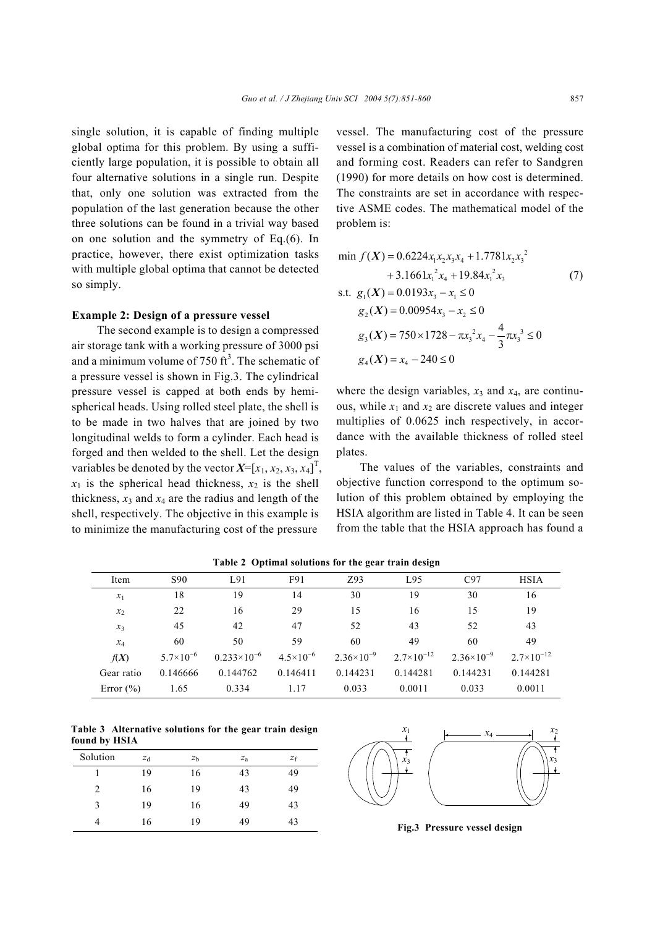single solution, it is capable of finding multiple global optima for this problem. By using a sufficiently large population, it is possible to obtain all four alternative solutions in a single run. Despite that, only one solution was extracted from the population of the last generation because the other three solutions can be found in a trivial way based on one solution and the symmetry of Eq.(6). In practice, however, there exist optimization tasks with multiple global optima that cannot be detected so simply.

#### **Example 2: Design of a pressure vessel**

The second example is to design a compressed air storage tank with a working pressure of 3000 psi and a minimum volume of 750  $\text{ft}^3$ . The schematic of a pressure vessel is shown in Fig.3. The cylindrical pressure vessel is capped at both ends by hemispherical heads. Using rolled steel plate, the shell is to be made in two halves that are joined by two longitudinal welds to form a cylinder. Each head is forged and then welded to the shell. Let the design variables be denoted by the vector  $X=[x_1, x_2, x_3, x_4]^T$ ,  $x_1$  is the spherical head thickness,  $x_2$  is the shell thickness,  $x_3$  and  $x_4$  are the radius and length of the shell, respectively. The objective in this example is to minimize the manufacturing cost of the pressure

vessel. The manufacturing cost of the pressure vessel is a combination of material cost, welding cost and forming cost. Readers can refer to Sandgren (1990) for more details on how cost is determined. The constraints are set in accordance with respective ASME codes. The mathematical model of the problem is:

$$
\min f(X) = 0.6224x_1x_2x_3x_4 + 1.7781x_2x_3^2
$$
  
+ 3.1661x<sub>1</sub><sup>2</sup>x<sub>4</sub> + 19.84x<sub>1</sub><sup>2</sup>x<sub>3</sub> (7)  
s.t.  $g_1(X) = 0.0193x_3 - x_1 \le 0$   
 $g_2(X) = 0.00954x_3 - x_2 \le 0$   
 $g_3(X) = 750 \times 1728 - \pi x_3^2 x_4 - \frac{4}{3} \pi x_3^3 \le 0$   
 $g_4(X) = x_4 - 240 \le 0$ 

where the design variables,  $x_3$  and  $x_4$ , are continuous, while  $x_1$  and  $x_2$  are discrete values and integer multiplies of 0.0625 inch respectively, in accordance with the available thickness of rolled steel plates.

The values of the variables, constraints and objective function correspond to the optimum solution of this problem obtained by employing the HSIA algorithm are listed in Table 4. It can be seen from the table that the HSIA approach has found a

| Item          | S <sub>90</sub>    | L91                  | F91                  | Z93                 | L95                 | C97                 | <b>HSIA</b>         |
|---------------|--------------------|----------------------|----------------------|---------------------|---------------------|---------------------|---------------------|
| $x_1$         | 18                 | 19                   | 14                   | 30                  | 19                  | 30                  | 16                  |
| $x_2$         | 22                 | 16                   | 29                   | 15                  | 16                  | 15                  | 19                  |
| $x_3$         | 45                 | 42                   | 47                   | 52                  | 43                  | 52                  | 43                  |
| $x_4$         | 60                 | 50                   | 59                   | 60                  | 49                  | 60                  | 49                  |
| f(X)          | $5.7\times10^{-6}$ | $0.233\times10^{-6}$ | $4.5 \times 10^{-6}$ | $2.36\times10^{-9}$ | $2.7\times10^{-12}$ | $2.36\times10^{-9}$ | $2.7\times10^{-12}$ |
| Gear ratio    | 0.146666           | 0.144762             | 0.146411             | 0.144231            | 0.144281            | 0.144231            | 0.144281            |
| Error $(\% )$ | 1.65               | 0.334                | 1.17                 | 0.033               | 0.0011              | 0.033               | 0.0011              |

**Table 2 Optimal solutions for the gear train design** 

**Table 3 Alternative solutions for the gear train design found by HSIA**

| Solution       | $Z_{\rm d}$ | z <sub>b</sub> | $Z_{\rm a}$ | $z_{\rm f}$ |
|----------------|-------------|----------------|-------------|-------------|
|                | 19          | 16             | 43          | 49          |
| $\overline{2}$ | 16          | 19             | 43          | 49          |
| 3              | 19          | 16             | 49          | 43          |
| 4              | 16          | 19             | 49          | 43          |



**Fig.3 Pressure vessel design**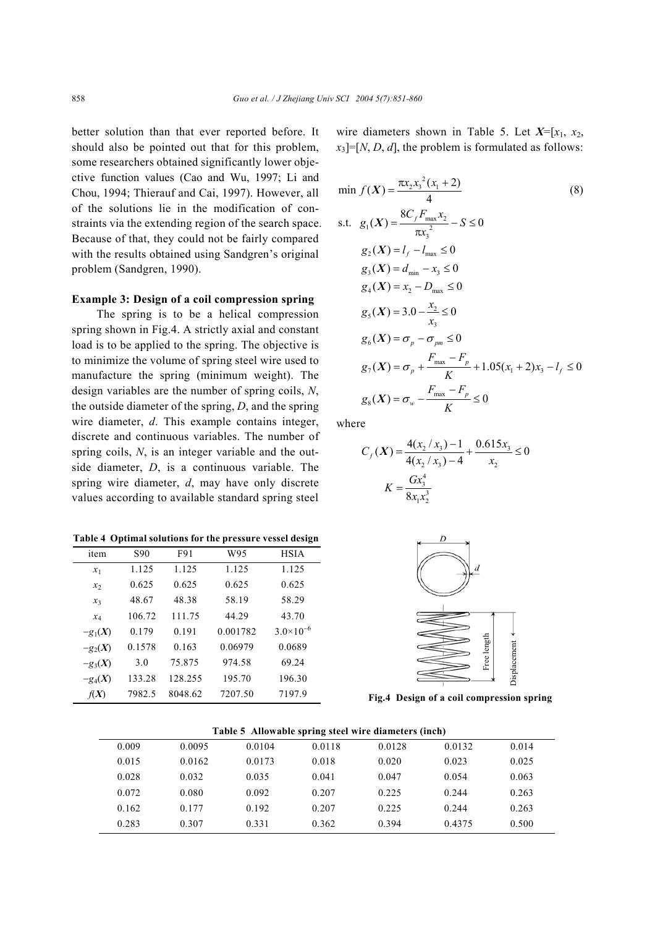better solution than that ever reported before. It should also be pointed out that for this problem, some researchers obtained significantly lower objective function values (Cao and Wu, 1997; Li and Chou, 1994; Thierauf and Cai, 1997). However, all of the solutions lie in the modification of constraints via the extending region of the search space. Because of that, they could not be fairly compared with the results obtained using Sandgren's original problem (Sandgren, 1990).

## **Example 3: Design of a coil compression spring**

 The spring is to be a helical compression spring shown in Fig.4. A strictly axial and constant load is to be applied to the spring. The objective is to minimize the volume of spring steel wire used to manufacture the spring (minimum weight). The design variables are the number of spring coils, *N*, the outside diameter of the spring, *D*, and the spring wire diameter, *d*. This example contains integer, discrete and continuous variables. The number of spring coils, *N*, is an integer variable and the outside diameter, *D*, is a continuous variable. The spring wire diameter, *d*, may have only discrete values according to available standard spring steel

**Table 4 Optimal solutions for the pressure vessel design**

| item      | S <sub>90</sub> | F91     | W95      | <b>HSIA</b>        |
|-----------|-----------------|---------|----------|--------------------|
| $x_1$     | 1.125           | 1.125   | 1.125    | 1.125              |
| $x_2$     | 0.625           | 0.625   | 0.625    | 0.625              |
| $x_3$     | 48.67           | 48.38   | 58.19    | 58.29              |
| $x_4$     | 106.72          | 111.75  | 44.29    | 43.70              |
| $-g_1(X)$ | 0.179           | 0.191   | 0.001782 | $3.0\times10^{-6}$ |
| $-g_2(X)$ | 0.1578          | 0.163   | 0.06979  | 0.0689             |
| $-g_3(X)$ | 3.0             | 75.875  | 974.58   | 69.24              |
| $-g_4(X)$ | 133.28          | 128.255 | 195.70   | 196.30             |
| f(X)      | 7982.5          | 8048.62 | 7207.50  | 7197.9             |

wire diameters shown in Table 5. Let  $X=[x_1, x_2,$  $x_3$ ]=[*N*, *D*, *d*], the problem is formulated as follows:

$$
\min f(X) = \frac{\pi x_2 x_3^2 (x_1 + 2)}{4}
$$
\n  
\ns.t.  $g_1(X) = \frac{8C_f F_{\text{max}} x_2}{\pi x_3^2} - S \le 0$   
\n $g_2(X) = l_f - l_{\text{max}} \le 0$   
\n $g_3(X) = d_{\text{min}} - x_3 \le 0$   
\n $g_4(X) = x_2 - D_{\text{max}} \le 0$   
\n $g_5(X) = 3.0 - \frac{x_2}{x_3} \le 0$   
\n $g_6(X) = \sigma_p - \sigma_{pm} \le 0$   
\n $g_7(X) = \sigma_p + \frac{F_{\text{max}} - F_p}{K} + 1.05(x_1 + 2)x_3 - l_f \le 0$   
\n $g_8(X) = \sigma_w - \frac{F_{\text{max}} - F_p}{K} \le 0$ \n

where

$$
C_f(X) = \frac{4(x_2 / x_3) - 1}{4(x_2 / x_3) - 4} + \frac{0.615x_3}{x_2} \le 0
$$

$$
K = \frac{Gx_3^4}{8x_1x_2^3}
$$



|       |        |        |        | Table 5 Allowable spring steel wire diameters (inch) |        |       |  |
|-------|--------|--------|--------|------------------------------------------------------|--------|-------|--|
| 0.009 | 0.0095 | 0.0104 | 0.0118 | 0.0128                                               | 0.0132 | 0.014 |  |
| 0.015 | 0.0162 | 0.0173 | 0.018  | 0.020                                                | 0.023  | 0.025 |  |
| 0.028 | 0.032  | 0.035  | 0.041  | 0.047                                                | 0.054  | 0.063 |  |
| 0.072 | 0.080  | 0.092  | 0.207  | 0.225                                                | 0.244  | 0.263 |  |
| 0.162 | 0.177  | 0.192  | 0.207  | 0.225                                                | 0 2.44 | 0.263 |  |
| 0.283 | 0.307  | 0.331  | 0.362  | 0.394                                                | 0.4375 | 0.500 |  |

**Table 5 Allowable spring steel wire diameters (inch)**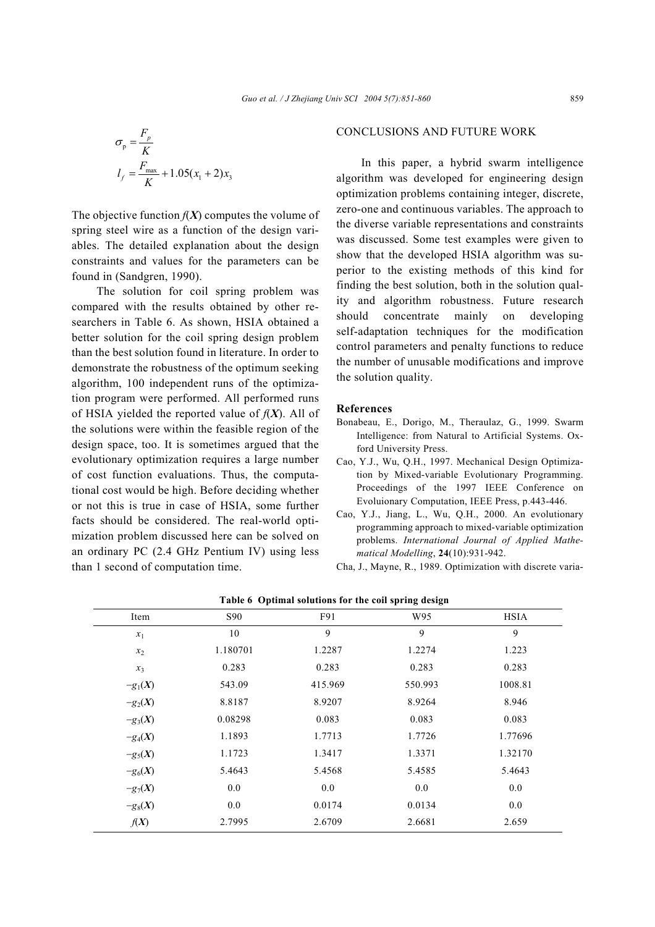$$
\sigma_{\text{p}} = \frac{F_{p}}{K}
$$

$$
l_{f} = \frac{F_{\text{max}}}{K} + 1.05(x_{1} + 2)x_{3}
$$

The objective function  $f(X)$  computes the volume of spring steel wire as a function of the design variables. The detailed explanation about the design constraints and values for the parameters can be found in (Sandgren, 1990).

 The solution for coil spring problem was compared with the results obtained by other researchers in Table 6. As shown, HSIA obtained a better solution for the coil spring design problem than the best solution found in literature. In order to demonstrate the robustness of the optimum seeking algorithm, 100 independent runs of the optimization program were performed. All performed runs of HSIA yielded the reported value of *f*(*X*). All of the solutions were within the feasible region of the design space, too. It is sometimes argued that the evolutionary optimization requires a large number of cost function evaluations. Thus, the computational cost would be high. Before deciding whether or not this is true in case of HSIA, some further facts should be considered. The real-world optimization problem discussed here can be solved on an ordinary PC (2.4 GHz Pentium IV) using less than 1 second of computation time.

# CONCLUSIONS AND FUTURE WORK

 In this paper, a hybrid swarm intelligence algorithm was developed for engineering design optimization problems containing integer, discrete, zero-one and continuous variables. The approach to the diverse variable representations and constraints was discussed. Some test examples were given to show that the developed HSIA algorithm was superior to the existing methods of this kind for finding the best solution, both in the solution quality and algorithm robustness. Future research should concentrate mainly on developing self-adaptation techniques for the modification control parameters and penalty functions to reduce the number of unusable modifications and improve the solution quality.

## **References**

- Bonabeau, E., Dorigo, M., Theraulaz, G., 1999. Swarm Intelligence: from Natural to Artificial Systems. Oxford University Press.
- Cao, Y.J., Wu, Q.H., 1997. Mechanical Design Optimization by Mixed-variable Evolutionary Programming. Proceedings of the 1997 IEEE Conference on Evoluionary Computation, IEEE Press, p.443-446.
- Cao, Y.J., Jiang, L., Wu, Q.H., 2000. An evolutionary programming approach to mixed-variable optimization problems. *International Journal of Applied Mathematical Modelling*, **24**(10):931-942.
- Cha, J., Mayne, R., 1989. Optimization with discrete varia-

| Table of Optimal solutions for the configuring design |          |         |         |             |  |  |
|-------------------------------------------------------|----------|---------|---------|-------------|--|--|
| Item                                                  | S90      | F91     | W95     | <b>HSIA</b> |  |  |
| $x_1$                                                 | 10       | 9       | 9       | 9           |  |  |
| $x_2$                                                 | 1.180701 | 1.2287  | 1.2274  | 1.223       |  |  |
| $x_3$                                                 | 0.283    | 0.283   | 0.283   | 0.283       |  |  |
| $-g_1(X)$                                             | 543.09   | 415.969 | 550.993 | 1008.81     |  |  |
| $-g_2(X)$                                             | 8.8187   | 8.9207  | 8.9264  | 8.946       |  |  |
| $-g_3(X)$                                             | 0.08298  | 0.083   | 0.083   | 0.083       |  |  |
| $-g_4(X)$                                             | 1.1893   | 1.7713  | 1.7726  | 1.77696     |  |  |
| $-g_5(X)$                                             | 1.1723   | 1.3417  | 1.3371  | 1.32170     |  |  |
| $-g6(X)$                                              | 5.4643   | 5.4568  | 5.4585  | 5.4643      |  |  |
| $-g_7(X)$                                             | 0.0      | 0.0     | 0.0     | 0.0         |  |  |
| $-g_8(X)$                                             | 0.0      | 0.0174  | 0.0134  | 0.0         |  |  |
| f(X)                                                  | 2.7995   | 2.6709  | 2.6681  | 2.659       |  |  |

**Table 6 Optimal solutions for the coil spring design**